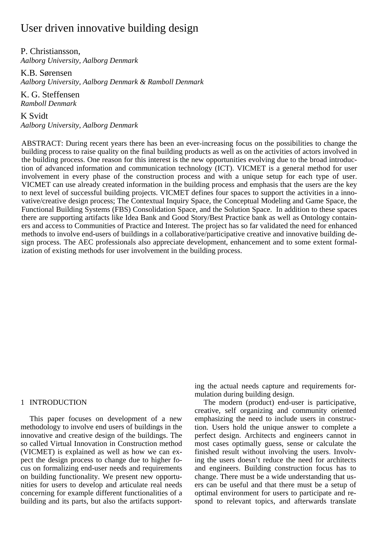# User driven innovative building design

P. Christiansson, *Aalborg University, Aalborg Denmark* 

K.B. Sørensen *Aalborg University, Aalborg Denmark & Ramboll Denmark* 

K. G. Steffensen *Ramboll Denmark* 

K Svidt *Aalborg University, Aalborg Denmark* 

ABSTRACT: During recent years there has been an ever-increasing focus on the possibilities to change the building process to raise quality on the final building products as well as on the activities of actors involved in the building process. One reason for this interest is the new opportunities evolving due to the broad introduction of advanced information and communication technology (ICT). VICMET is a general method for user involvement in every phase of the construction process and with a unique setup for each type of user. VICMET can use already created information in the building process and emphasis that the users are the key to next level of successful building projects. VICMET defines four spaces to support the activities in a innovative/creative design process; The Contextual Inquiry Space, the Conceptual Modeling and Game Space, the Functional Building Systems (FBS) Consolidation Space, and the Solution Space. In addition to these spaces there are supporting artifacts like Idea Bank and Good Story/Best Practice bank as well as Ontology containers and access to Communities of Practice and Interest. The project has so far validated the need for enhanced methods to involve end-users of buildings in a collaborative/participative creative and innovative building design process. The AEC professionals also appreciate development, enhancement and to some extent formalization of existing methods for user involvement in the building process.

# 1 INTRODUCTION

This paper focuses on development of a new methodology to involve end users of buildings in the innovative and creative design of the buildings. The so called Virtual Innovation in Construction method (VICMET) is explained as well as how we can expect the design process to change due to higher focus on formalizing end-user needs and requirements on building functionality. We present new opportunities for users to develop and articulate real needs concerning for example different functionalities of a building and its parts, but also the artifacts supporting the actual needs capture and requirements formulation during building design.

The modern (product) end-user is participative, creative, self organizing and community oriented emphasizing the need to include users in construction. Users hold the unique answer to complete a perfect design. Architects and engineers cannot in most cases optimally guess, sense or calculate the finished result without involving the users. Involving the users doesn't reduce the need for architects and engineers. Building construction focus has to change. There must be a wide understanding that users can be useful and that there must be a setup of optimal environment for users to participate and respond to relevant topics, and afterwards translate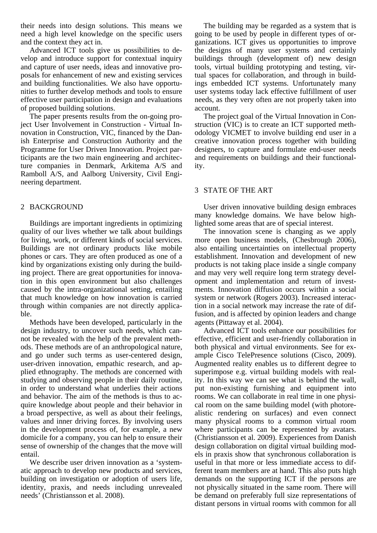their needs into design solutions. This means we need a high level knowledge on the specific users and the context they act in.

Advanced ICT tools give us possibilities to develop and introduce support for contextual inquiry and capture of user needs, ideas and innovative proposals for enhancement of new and existing services and building functionalities. We also have opportunities to further develop methods and tools to ensure effective user participation in design and evaluations of proposed building solutions.

The paper presents results from the on-going project User Involvement in Construction - Virtual Innovation in Construction, VIC, financed by the Danish Enterprise and Construction Authority and the Programme for User Driven Innovation. Project participants are the two main engineering and architecture companies in Denmark, Arkitema A/S and Ramboll A/S, and Aalborg University, Civil Engineering department.

# 2 BACKGROUND

Buildings are important ingredients in optimizing quality of our lives whether we talk about buildings for living, work, or different kinds of social services. Buildings are not ordinary products like mobile phones or cars. They are often produced as one of a kind by organizations existing only during the building project. There are great opportunities for innovation in this open environment but also challenges caused by the intra-organizational setting, entailing that much knowledge on how innovation is carried through within companies are not directly applicable.

Methods have been developed, particularly in the design industry, to uncover such needs, which cannot be revealed with the help of the prevalent methods. These methods are of an anthropological nature, and go under such terms as user-centered design, user-driven innovation, empathic research, and applied ethnography. The methods are concerned with studying and observing people in their daily routine, in order to understand what underlies their actions and behavior. The aim of the methods is thus to acquire knowledge about people and their behavior in a broad perspective, as well as about their feelings, values and inner driving forces. By involving users in the development process of, for example, a new domicile for a company, you can help to ensure their sense of ownership of the changes that the move will entail.

We describe user driven innovation as a 'systematic approach to develop new products and services, building on investigation or adoption of users life, identity, praxis, and needs including unrevealed needs' (Christiansson et al. 2008).

The building may be regarded as a system that is going to be used by people in different types of organizations. ICT gives us opportunities to improve the designs of many user systems and certainly buildings through (development of) new design tools, virtual building prototyping and testing, virtual spaces for collaboration, and through in buildings embedded ICT systems. Unfortunately many user systems today lack effective fulfillment of user needs, as they very often are not properly taken into account.

The project goal of the Virtual Innovation in Construction (VIC) is to create an ICT supported methodology VICMET to involve building end user in a creative innovation process together with building designers, to capture and formulate end-user needs and requirements on buildings and their functionality.

# 3 STATE OF THE ART

User driven innovative building design embraces many knowledge domains. We have below highlighted some areas that are of special interest.

The innovation scene is changing as we apply more open business models, (Chesbrough 2006), also entailing uncertainties on intellectual property establishment. Innovation and development of new products is not taking place inside a single company and may very well require long term strategy development and implementation and return of investments. Innovation diffusion occurs within a social system or network (Rogers 2003). Increased interaction in a social network may increase the rate of diffusion, and is affected by opinion leaders and change agents (Pittaway et al. 2004).

Advanced ICT tools enhance our possibilities for effective, efficient and user-friendly collaboration in both physical and virtual environments. See for example Cisco TelePresence solutions (Cisco, 2009). Augmented reality enables us to different degree to superimpose e.g. virtual building models with reality. In this way we can see what is behind the wall, put non-existing furnishing and equipment into rooms. We can collaborate in real time in one physical room on the same building model (with photorealistic rendering on surfaces) and even connect many physical rooms to a common virtual room where participants can be represented by avatars. (Christiansson et al. 2009). Experiences from Danish design collaboration on digital virtual building models in praxis show that synchronous collaboration is useful in that more or less immediate access to different team members are at hand. This also puts high demands on the supporting ICT if the persons are not physically situated in the same room. There will be demand on preferably full size representations of distant persons in virtual rooms with common for all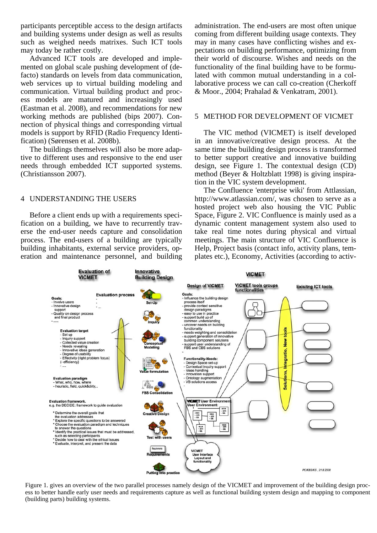participants perceptible access to the design artifacts and building systems under design as well as results such as weighed needs matrixes. Such ICT tools may today be rather costly.

Advanced ICT tools are developed and implemented on global scale pushing development of (defacto) standards on levels from data communication, web services up to virtual building modeling and communication. Virtual building product and process models are matured and increasingly used (Eastman et al. 2008), and recommendations for new working methods are published (bips 2007). Connection of physical things and corresponding virtual models is support by RFID (Radio Frequency Identification) (Sørensen et al. 2008b).

The buildings themselves will also be more adaptive to different uses and responsive to the end user needs through embedded ICT supported systems. (Christiansson 2007).

# 4 UNDERSTANDING THE USERS

Before a client ends up with a requirements specification on a building, we have to recurrently traverse the end-user needs capture and consolidation process. The end-users of a building are typically building inhabitants, external service providers, operation and maintenance personnel, and building

administration. The end-users are most often unique coming from different building usage contexts. They may in many cases have conflicting wishes and expectations on building performance, optimizing from their world of discourse. Wishes and needs on the functionality of the final building have to be formulated with common mutual understanding in a collaborative process we can call co-creation (Cherkoff & Moor., 2004; Prahalad & Venkatram, 2001).

# 5 METHOD FOR DEVELOPMENT OF VICMET

The VIC method (VICMET) is itself developed in an innovative/creative design process. At the same time the building design process is transformed to better support creative and innovative building design, see Figure 1. The contextual design (CD) method (Beyer & Holtzblatt 1998) is giving inspiration in the VIC system development.

The Confluence 'enterprise wiki' from Attlassian, http://www.atlassian.com/, was chosen to serve as a hosted project web also housing the VIC Public Space, Figure 2. VIC Confluence is mainly used as a dynamic content management system also used to take real time notes during physical and virtual meetings. The main structure of VIC Confluence is Help, Project basis (contact info, activity plans, templates etc.), Economy, Activities (according to activ-



Figure 1. gives an overview of the two parallel processes namely design of the VICMET and improvement of the building design process to better handle early user needs and requirements capture as well as functional building system design and mapping to component (building parts) building systems.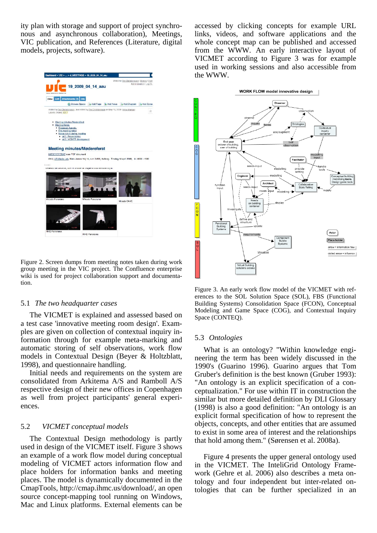ity plan with storage and support of project synchronous and asynchronous collaboration), Meetings, VIC publication, and References (Literature, digital models, projects, software).



Figure 2. Screen dumps from meeting notes taken during work group meeting in the VIC project. The Confluence enterprise wiki is used for project collaboration support and documentation.

#### 5.1 *The two headquarter cases*

The VICMET is explained and assessed based on a test case 'innovative meeting room design'. Examples are given on collection of contextual inquiry information through for example meta-marking and automatic storing of self observations, work flow models in Contextual Design (Beyer & Holtzblatt, 1998), and questionnaire handling.

Initial needs and requirements on the system are consolidated from Arkitema A/S and Ramboll A/S respective design of their new offices in Copenhagen as well from project participants' general experiences.

## 5.2 *VICMET conceptual models*

The Contextual Design methodology is partly used in design of the VICMET itself. Figure 3 shows an example of a work flow model during conceptual modeling of VICMET actors information flow and place holders for information banks and meeting places. The model is dynamically documented in the CmapTools, http://cmap.ihmc.us/download/, an open source concept-mapping tool running on Windows, Mac and Linux platforms. External elements can be accessed by clicking concepts for example URL links, videos, and software applications and the whole concept map can be published and accessed from the WWW. An early interactive layout of VICMET according to Figure 3 was for example used in working sessions and also accessible from the WWW.



Figure 3. An early work flow model of the VICMET with references to the SOL Solution Space (SOL), FBS (Functional Building Systems) Consolidation Space (FCON), Conceptual Modeling and Game Space (COG), and Contextual Inquiry Space (CONTEQ).

## 5.3 *Ontologies*

What is an ontology? "Within knowledge engineering the term has been widely discussed in the 1990's (Guarino 1996). Guarino argues that Tom Gruber's definition is the best known (Gruber 1993): "An ontology is an explicit specification of a conceptualization." For use within IT in construction the similar but more detailed definition by DLI Glossary (1998) is also a good definition: "An ontology is an explicit formal specification of how to represent the objects, concepts, and other entities that are assumed to exist in some area of interest and the relationships that hold among them." (Sørensen et al. 2008a).

Figure 4 presents the upper general ontology used in the VICMET. The InteliGrid Ontology Framework (Gehre et al. 2006) also describes a meta ontology and four independent but inter-related ontologies that can be further specialized in an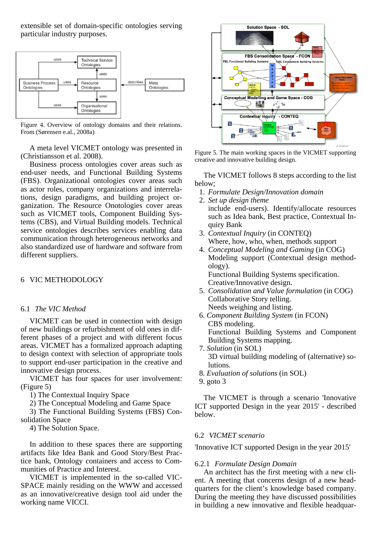extensible set of domain-specific ontologies serving particular industry purposes.



Figure 4. Overview of ontology domains and their relations. From (Sørensen e.al., 2008a)

A meta level VICMET ontology was presented in (Christiansson et al. 2008).

Business process ontologies cover areas such as end-user needs, and Functional Building Systems (FBS). Organizational ontologies cover areas such as actor roles, company organizations and interrelations, design paradigms, and building project organization. The Resource Onotologies cover areas such as VICMET tools, Component Building Systems (CBS), and Virtual Building models. Technical service ontologies describes services enabling data communication through heterogeneous networks and also standardized use of hardware and software from different suppliers.

# 6 VIC METHODOLOGY

## 6.1 *The VIC Method*

VICMET can be used in connection with design of new buildings or refurbishment of old ones in different phases of a project and with different focus areas. VICMET has a formalized approach adapting to design context with selection of appropriate tools to support end-user participation in the creative and innovative design process.

VICMET has four spaces for user involvement: (Figure 5)

1) The Contextual Inquiry Space

2) The Conceptual Modeling and Game Space

3) The Functional Building Systems (FBS) Consolidation Space

4) The Solution Space.

In addition to these spaces there are supporting artifacts like Idea Bank and Good Story/Best Practice bank, Ontology containers and access to Communities of Practice and Interest.

VICMET is implemented in the so-called VIC-SPACE mainly residing on the WWW and accessed as an innovative/creative design tool aid under the working name VICCI.



Figure 5. The main working spaces in the VICMET supporting creative and innovative building design.

The VICMET follows 8 steps according to the list below;

- 1. *Formulate Design/Innovation domain*
- 2. *Set up design theme* include end-users). Identify/allocate resources such as Idea bank, Best practice, Contextual Inquiry Bank
- 3. *Contextual Inquiry* (in CONTEQ) Where, how, who, when, methods support
- 4. *Conceptual Modeling and Gaming* (in COG) Modeling support (Contextual design methodology). Functional Building Systems specification. Creative/Innovative design.
- 5. *Consolidation and Value formulation* (in COG) Collaborative Story telling. Needs weighing and listing.
- 6. *Component Building System* (in FCON) CBS modeling. Functional Building Systems and Component Building Systems mapping.
- 7. *Solution* (in SOL) 3D virtual building modeling of (alternative) solutions.
- 8. *Evaluation of solutions* (in SOL)
- 9. goto 3

The VICMET is through a scenario 'Innovative ICT supported Design in the year 2015' - described below.

## 6.2 *VICMET scenario*

'Innovative ICT supported Design in the year 2015'

#### 6.2.1 *Formulate Design Domain*

An architect has the first meeting with a new client. A meeting that concerns design of a new headquarters for the client's knowledge based company. During the meeting they have discussed possibilities in building a new innovative and flexible headquar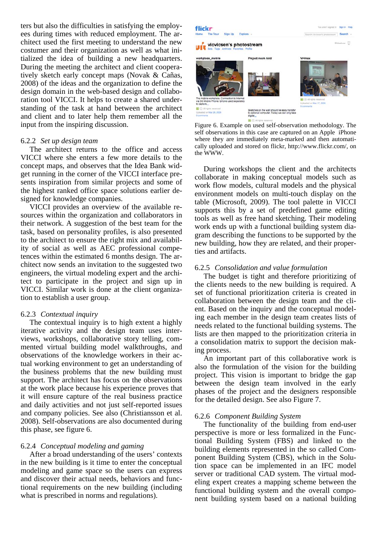ters but also the difficulties in satisfying the employees during times with reduced employment. The architect used the first meeting to understand the new costumer and their organization as well as what initialized the idea of building a new headquarters. During the meeting the architect and client cooperatively sketch early concept maps (Novak & Cañas, 2008) of the ideas and the organization to define the design domain in the web-based design and collaboration tool VICCI. It helps to create a shared understanding of the task at hand between the architect and client and to later help them remember all the input from the inspiring discussion.

## 6.2.2 *Set up design team*

The architect returns to the office and access VICCI where she enters a few more details to the concept maps, and observes that the Idea Bank widget running in the corner of the VICCI interface presents inspiration from similar projects and some of the highest ranked office space solutions earlier designed for knowledge companies.

VICCI provides an overview of the available resources within the organization and collaborators in their network. A suggestion of the best team for the task, based on personality profiles, is also presented to the architect to ensure the right mix and availability of social as well as AEC professional competences within the estimated 6 months design. The architect now sends an invitation to the suggested two engineers, the virtual modeling expert and the architect to participate in the project and sign up in VICCI. Similar work is done at the client organization to establish a user group.

## 6.2.3 *Contextual inquiry*

The contextual inquiry is to high extent a highly iterative activity and the design team uses interviews, workshops, collaborative story telling, commented virtual building model walkthroughs, and observations of the knowledge workers in their actual working environment to get an understanding of the business problems that the new building must support. The architect has focus on the observations at the work place because his experience proves that it will ensure capture of the real business practice and daily activities and not just self-reported issues and company policies. See also (Christiansson et al. 2008). Self-observations are also documented during this phase, see figure 6.

# 6.2.4 *Conceptual modeling and gaming*

After a broad understanding of the users' contexts in the new building is it time to enter the conceptual modeling and game space so the users can express and discover their actual needs, behaviors and functional requirements on the new building (including what is prescribed in norms and regulations).



Figure 6. Example on used self-observation methodology. The self observations in this case are captured on an Apple iPhone where they are immediately meta-marked and then automatically uploaded and stored on flickr, http://www.flickr.com/, on the WWW.

During workshops the client and the architects collaborate in making conceptual models such as work flow models, cultural models and the physical environment models on multi-touch display on the table (Microsoft, 2009). The tool palette in VICCI supports this by a set of predefined game editing tools as well as free hand sketching. Their modeling work ends up with a functional building system diagram describing the functions to be supported by the new building, how they are related, and their properties and artifacts.

#### 6.2.5 *Consolidation and value formulation*

The budget is tight and therefore prioritizing of the clients needs to the new building is required. A set of functional prioritization criteria is created in collaboration between the design team and the client. Based on the inquiry and the conceptual modeling each member in the design team creates lists of needs related to the functional building systems. The lists are then mapped to the prioritization criteria in a consolidation matrix to support the decision making process.

An important part of this collaborative work is also the formulation of the vision for the building project. This vision is important to bridge the gap between the design team involved in the early phases of the project and the designers responsible for the detailed design. See also Figure 7.

## 6.2.6 *Component Building System*

The functionality of the building from end-user perspective is more or less formalized in the Functional Building System (FBS) and linked to the building elements represented in the so called Component Building System (CBS), which in the Solution space can be implemented in an IFC model server or traditional CAD system. The virtual modeling expert creates a mapping scheme between the functional building system and the overall component building system based on a national building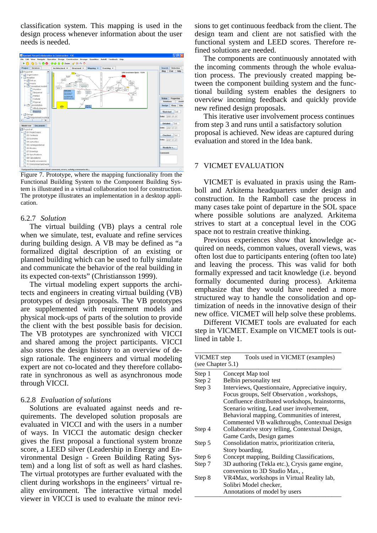classification system. This mapping is used in the design process whenever information about the user needs is needed.



Figure 7. Prototype, where the mapping functionality from the Functional Building System to the Component Building System is illustrated in a virtual collaboration tool for construction. The prototype illustrates an implementation in a desktop application.

## 6.2.7 *Solution*

The virtual building (VB) plays a central role when we simulate, test, evaluate and refine services during building design. A VB may be defined as "a formalized digital description of an existing or planned building which can be used to fully simulate and communicate the behavior of the real building in its expected con-texts" (Christiansson 1999).

The virtual modeling expert supports the architects and engineers in creating virtual building (VB) prototypes of design proposals. The VB prototypes are supplemented with requirement models and physical mock-ups of parts of the solution to provide the client with the best possible basis for decision. The VB prototypes are synchronized with VICCI and shared among the project participants. VICCI also stores the design history to an overview of design rationale. The engineers and virtual modeling expert are not co-located and they therefore collaborate in synchronous as well as asynchronous mode through VICCI.

## 6.2.8 *Evaluation of solutions*

Solutions are evaluated against needs and requirements. The developed solution proposals are evaluated in VICCI and with the users in a number of ways. In VICCI the automatic design checker gives the first proposal a functional system bronze score, a LEED silver (Leadership in Energy and Environmental Design - Green Building Rating System) and a long list of soft as well as hard clashes. The virtual prototypes are further evaluated with the client during workshops in the engineers' virtual reality environment. The interactive virtual model viewer in VICCI is used to evaluate the minor revisions to get continuous feedback from the client. The design team and client are not satisfied with the functional system and LEED scores. Therefore refined solutions are needed.

The components are continuously annotated with the incoming comments through the whole evaluation process. The previously created mapping between the component building system and the functional building system enables the designers to overview incoming feedback and quickly provide new refined design proposals.

This iterative user involvement process continues from step 3 and runs until a satisfactory solution proposal is achieved. New ideas are captured during evaluation and stored in the Idea bank.

## 7 VICMET EVALUATION

VICMET is evaluated in praxis using the Ramboll and Arkitema headquarters under design and construction. In the Ramboll case the process in many cases take point of departure in the SOL space where possible solutions are analyzed. Arkitema strives to start at a conceptual level in the COG space not to restrain creative thinking.

Previous experiences show that knowledge acquired on needs, common values, overall views, was often lost due to participants entering (often too late) and leaving the process. This was valid for both formally expressed and tacit knowledge (i.e. beyond formally documented during process). Arkitema emphasize that they would have needed a more structured way to handle the consolidation and optimization of needs in the innovative design of their new office. VICMET will help solve these problems.

Different VICMET tools are evaluated for each step in VICMET. Example on VICMET tools is outlined in table 1.

| VICMET step<br>Tools used in VICMET (examples)<br>(see Chapter 5.1) |                                                                                                |
|---------------------------------------------------------------------|------------------------------------------------------------------------------------------------|
| Step 1                                                              | Concept Map tool                                                                               |
| Step 2                                                              | Belbin personality test                                                                        |
| Step 3                                                              | Interviews, Questionnaire, Appreciative inquiry,<br>Focus groups, Self Observation, workshops, |
|                                                                     | Confluence distributed workshops, brainstorms,                                                 |
|                                                                     | Scenario writing, Lead user involvement,                                                       |
|                                                                     | Behavioral mapping, Communities of interest,                                                   |
|                                                                     | Commented VB walkthroughs, Contextual Design                                                   |
| Step 4                                                              | Collaborative story telling, Contextual Design,                                                |
|                                                                     | Game Cards, Design games                                                                       |
| Step 5                                                              | Consolidation matrix, prioritization criteria,                                                 |
|                                                                     | Story boarding,                                                                                |
| Step 6                                                              | Concept mapping, Building Classifications,                                                     |
| Step 7                                                              | 3D authoring (Tekla etc.), Crysis game engine,<br>conversion to 3D Studio Max,,                |
| Step 8                                                              | VR4Max, workshops in Virtual Reality lab,                                                      |
|                                                                     | Solibri Model checker,                                                                         |
|                                                                     | Annotations of model by users                                                                  |